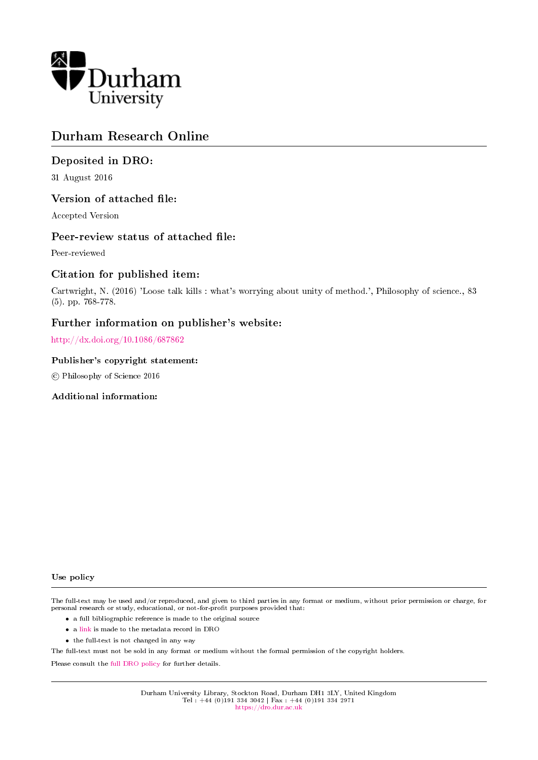

# Durham Research Online

# Deposited in DRO:

31 August 2016

## Version of attached file:

Accepted Version

## Peer-review status of attached file:

Peer-reviewed

## Citation for published item:

Cartwright, N. (2016) 'Loose talk kills : what's worrying about unity of method.', Philosophy of science., 83 (5). pp. 768-778.

## Further information on publisher's website:

<http://dx.doi.org/10.1086/687862>

### Publisher's copyright statement:

c Philosophy of Science 2016

### Additional information:

#### Use policy

The full-text may be used and/or reproduced, and given to third parties in any format or medium, without prior permission or charge, for personal research or study, educational, or not-for-profit purposes provided that:

- a full bibliographic reference is made to the original source
- a [link](http://dro.dur.ac.uk/19656/) is made to the metadata record in DRO
- the full-text is not changed in any way

The full-text must not be sold in any format or medium without the formal permission of the copyright holders.

Please consult the [full DRO policy](https://dro.dur.ac.uk/policies/usepolicy.pdf) for further details.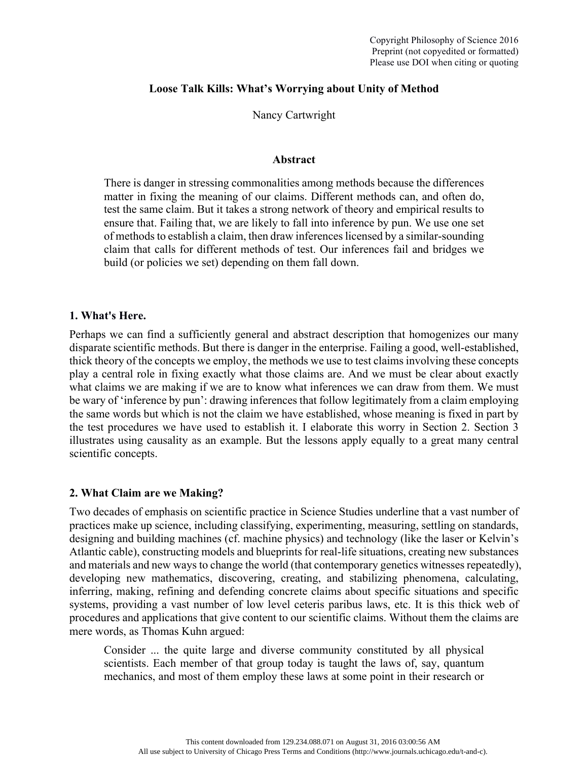# **Loose Talk Kills: What's Worrying about Unity of Method**

Nancy Cartwright

### **Abstract**

There is danger in stressing commonalities among methods because the differences matter in fixing the meaning of our claims. Different methods can, and often do, test the same claim. But it takes a strong network of theory and empirical results to ensure that. Failing that, we are likely to fall into inference by pun. We use one set of methods to establish a claim, then draw inferences licensed by a similar-sounding claim that calls for different methods of test. Our inferences fail and bridges we build (or policies we set) depending on them fall down.

### **1. What's Here.**

Perhaps we can find a sufficiently general and abstract description that homogenizes our many disparate scientific methods. But there is danger in the enterprise. Failing a good, well-established, thick theory of the concepts we employ, the methods we use to test claims involving these concepts play a central role in fixing exactly what those claims are. And we must be clear about exactly what claims we are making if we are to know what inferences we can draw from them. We must be wary of 'inference by pun': drawing inferences that follow legitimately from a claim employing the same words but which is not the claim we have established, whose meaning is fixed in part by the test procedures we have used to establish it. I elaborate this worry in Section 2. Section 3 illustrates using causality as an example. But the lessons apply equally to a great many central scientific concepts.

## **2. What Claim are we Making?**

Two decades of emphasis on scientific practice in Science Studies underline that a vast number of practices make up science, including classifying, experimenting, measuring, settling on standards, designing and building machines (cf. machine physics) and technology (like the laser or Kelvin's Atlantic cable), constructing models and blueprints for real-life situations, creating new substances and materials and new ways to change the world (that contemporary genetics witnesses repeatedly), developing new mathematics, discovering, creating, and stabilizing phenomena, calculating, inferring, making, refining and defending concrete claims about specific situations and specific systems, providing a vast number of low level ceteris paribus laws, etc. It is this thick web of procedures and applications that give content to our scientific claims. Without them the claims are mere words, as Thomas Kuhn argued:

Consider ... the quite large and diverse community constituted by all physical scientists. Each member of that group today is taught the laws of, say, quantum mechanics, and most of them employ these laws at some point in their research or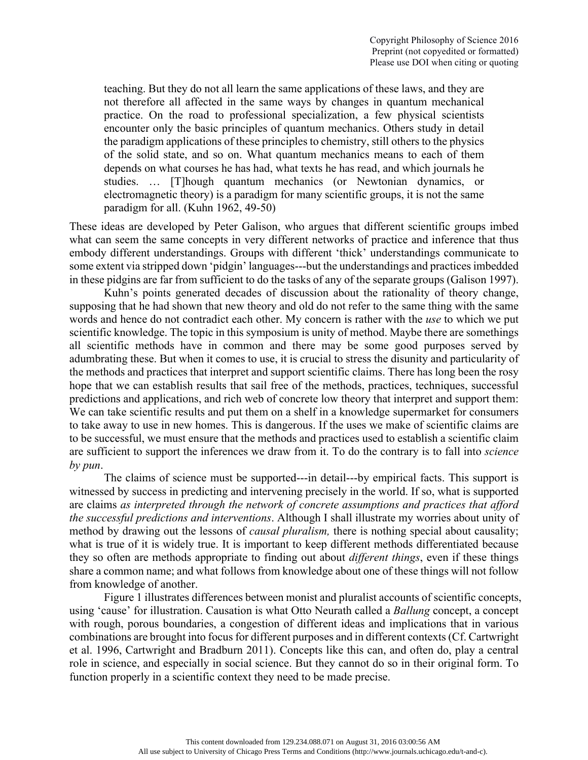teaching. But they do not all learn the same applications of these laws, and they are not therefore all affected in the same ways by changes in quantum mechanical practice. On the road to professional specialization, a few physical scientists encounter only the basic principles of quantum mechanics. Others study in detail the paradigm applications of these principles to chemistry, still others to the physics of the solid state, and so on. What quantum mechanics means to each of them depends on what courses he has had, what texts he has read, and which journals he studies. … [T]hough quantum mechanics (or Newtonian dynamics, or electromagnetic theory) is a paradigm for many scientific groups, it is not the same paradigm for all. (Kuhn 1962, 49-50)

These ideas are developed by Peter Galison, who argues that different scientific groups imbed what can seem the same concepts in very different networks of practice and inference that thus embody different understandings. Groups with different 'thick' understandings communicate to some extent via stripped down 'pidgin' languages---but the understandings and practices imbedded in these pidgins are far from sufficient to do the tasks of any of the separate groups (Galison 1997).

Kuhn's points generated decades of discussion about the rationality of theory change, supposing that he had shown that new theory and old do not refer to the same thing with the same words and hence do not contradict each other. My concern is rather with the *use* to which we put scientific knowledge. The topic in this symposium is unity of method. Maybe there are somethings all scientific methods have in common and there may be some good purposes served by adumbrating these. But when it comes to use, it is crucial to stress the disunity and particularity of the methods and practices that interpret and support scientific claims. There has long been the rosy hope that we can establish results that sail free of the methods, practices, techniques, successful predictions and applications, and rich web of concrete low theory that interpret and support them: We can take scientific results and put them on a shelf in a knowledge supermarket for consumers to take away to use in new homes. This is dangerous. If the uses we make of scientific claims are to be successful, we must ensure that the methods and practices used to establish a scientific claim are sufficient to support the inferences we draw from it. To do the contrary is to fall into *science by pun*.

The claims of science must be supported---in detail---by empirical facts. This support is witnessed by success in predicting and intervening precisely in the world. If so, what is supported are claims *as interpreted through the network of concrete assumptions and practices that afford the successful predictions and interventions*. Although I shall illustrate my worries about unity of method by drawing out the lessons of *causal pluralism,* there is nothing special about causality; what is true of it is widely true. It is important to keep different methods differentiated because they so often are methods appropriate to finding out about *different things*, even if these things share a common name; and what follows from knowledge about one of these things will not follow from knowledge of another.

Figure 1 illustrates differences between monist and pluralist accounts of scientific concepts, using 'cause' for illustration. Causation is what Otto Neurath called a *Ballung* concept, a concept with rough, porous boundaries, a congestion of different ideas and implications that in various combinations are brought into focus for different purposes and in different contexts(Cf. Cartwright et al. 1996, Cartwright and Bradburn 2011). Concepts like this can, and often do, play a central role in science, and especially in social science. But they cannot do so in their original form. To function properly in a scientific context they need to be made precise.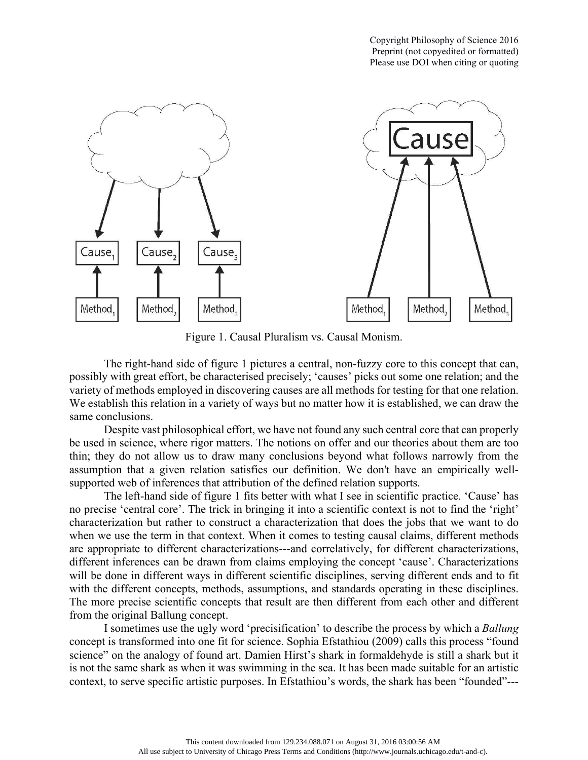

Figure 1. Causal Pluralism vs. Causal Monism.

The right-hand side of figure 1 pictures a central, non-fuzzy core to this concept that can, possibly with great effort, be characterised precisely; 'causes' picks out some one relation; and the variety of methods employed in discovering causes are all methods for testing for that one relation. We establish this relation in a variety of ways but no matter how it is established, we can draw the same conclusions.

Despite vast philosophical effort, we have not found any such central core that can properly be used in science, where rigor matters. The notions on offer and our theories about them are too thin; they do not allow us to draw many conclusions beyond what follows narrowly from the assumption that a given relation satisfies our definition. We don't have an empirically wellsupported web of inferences that attribution of the defined relation supports.

The left-hand side of figure 1 fits better with what I see in scientific practice. 'Cause' has no precise 'central core'. The trick in bringing it into a scientific context is not to find the 'right' characterization but rather to construct a characterization that does the jobs that we want to do when we use the term in that context. When it comes to testing causal claims, different methods are appropriate to different characterizations---and correlatively, for different characterizations, different inferences can be drawn from claims employing the concept 'cause'. Characterizations will be done in different ways in different scientific disciplines, serving different ends and to fit with the different concepts, methods, assumptions, and standards operating in these disciplines. The more precise scientific concepts that result are then different from each other and different from the original Ballung concept.

I sometimes use the ugly word 'precisification' to describe the process by which a *Ballung* concept is transformed into one fit for science. Sophia Efstathiou (2009) calls this process "found science" on the analogy of found art. Damien Hirst's shark in formaldehyde is still a shark but it is not the same shark as when it was swimming in the sea. It has been made suitable for an artistic context, to serve specific artistic purposes. In Efstathiou's words, the shark has been "founded"---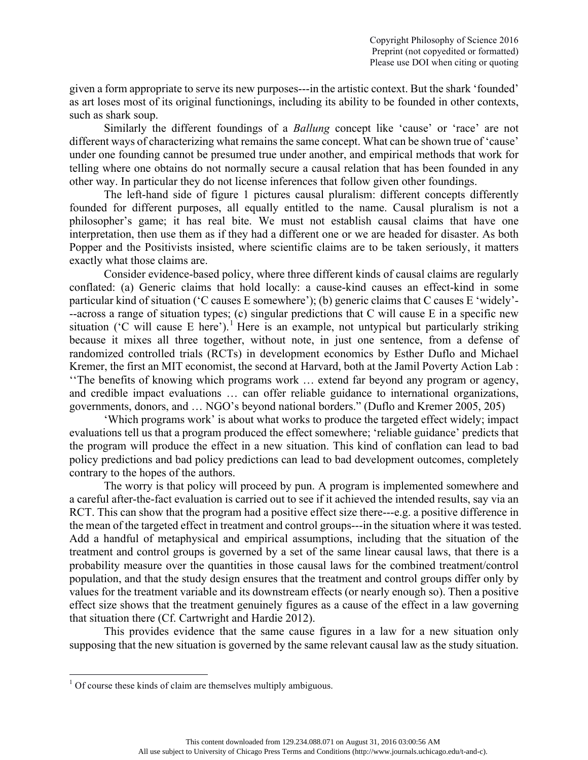given a form appropriate to serve its new purposes---in the artistic context. But the shark 'founded' as art loses most of its original functionings, including its ability to be founded in other contexts, such as shark soup.

Similarly the different foundings of a *Ballung* concept like 'cause' or 'race' are not different ways of characterizing what remains the same concept. What can be shown true of 'cause' under one founding cannot be presumed true under another, and empirical methods that work for telling where one obtains do not normally secure a causal relation that has been founded in any other way. In particular they do not license inferences that follow given other foundings.

The left-hand side of figure 1 pictures causal pluralism: different concepts differently founded for different purposes, all equally entitled to the name. Causal pluralism is not a philosopher's game; it has real bite. We must not establish causal claims that have one interpretation, then use them as if they had a different one or we are headed for disaster. As both Popper and the Positivists insisted, where scientific claims are to be taken seriously, it matters exactly what those claims are.

Consider evidence-based policy, where three different kinds of causal claims are regularly conflated: (a) Generic claims that hold locally: a cause-kind causes an effect-kind in some particular kind of situation ('C causes E somewhere'); (b) generic claims that C causes E 'widely'- --across a range of situation types; (c) singular predictions that C will cause E in a specific new situation ( $^{\circ}$ C will cause E here').<sup>1</sup> Here is an example, not untypical but particularly striking because it mixes all three together, without note, in just one sentence, from a defense of randomized controlled trials (RCTs) in development economics by Esther Duflo and Michael Kremer, the first an MIT economist, the second at Harvard, both at the Jamil Poverty Action Lab : ''The benefits of knowing which programs work … extend far beyond any program or agency, and credible impact evaluations … can offer reliable guidance to international organizations, governments, donors, and … NGO's beyond national borders." (Duflo and Kremer 2005, 205)

'Which programs work' is about what works to produce the targeted effect widely; impact evaluations tell us that a program produced the effect somewhere; 'reliable guidance' predicts that the program will produce the effect in a new situation. This kind of conflation can lead to bad policy predictions and bad policy predictions can lead to bad development outcomes, completely contrary to the hopes of the authors.

The worry is that policy will proceed by pun. A program is implemented somewhere and a careful after-the-fact evaluation is carried out to see if it achieved the intended results, say via an RCT. This can show that the program had a positive effect size there---e.g. a positive difference in the mean of the targeted effect in treatment and control groups---in the situation where it was tested. Add a handful of metaphysical and empirical assumptions, including that the situation of the treatment and control groups is governed by a set of the same linear causal laws, that there is a probability measure over the quantities in those causal laws for the combined treatment/control population, and that the study design ensures that the treatment and control groups differ only by values for the treatment variable and its downstream effects (or nearly enough so). Then a positive effect size shows that the treatment genuinely figures as a cause of the effect in a law governing that situation there (Cf. Cartwright and Hardie 2012).

This provides evidence that the same cause figures in a law for a new situation only supposing that the new situation is governed by the same relevant causal law as the study situation.

 $1$  Of course these kinds of claim are themselves multiply ambiguous.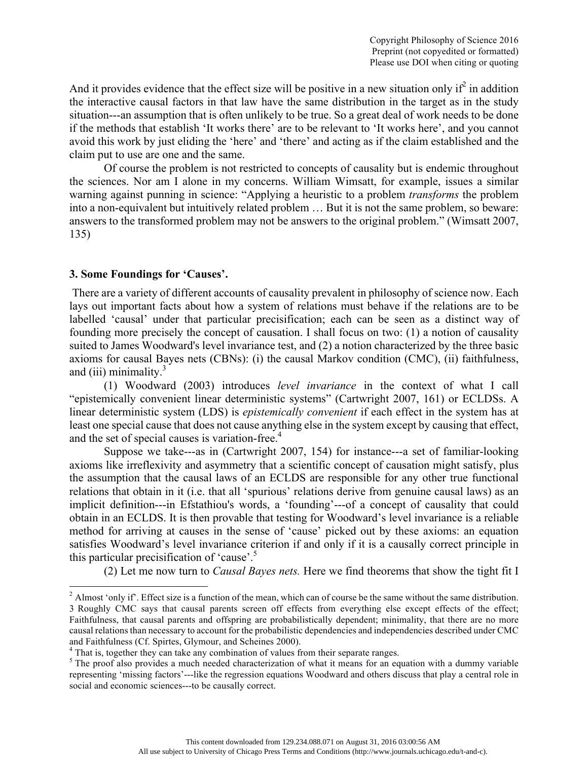And it provides evidence that the effect size will be positive in a new situation only  $if^2$  in addition the interactive causal factors in that law have the same distribution in the target as in the study situation---an assumption that is often unlikely to be true. So a great deal of work needs to be done if the methods that establish 'It works there' are to be relevant to 'It works here', and you cannot avoid this work by just eliding the 'here' and 'there' and acting as if the claim established and the claim put to use are one and the same.

Of course the problem is not restricted to concepts of causality but is endemic throughout the sciences. Nor am I alone in my concerns. William Wimsatt, for example, issues a similar warning against punning in science: "Applying a heuristic to a problem *transforms* the problem into a non-equivalent but intuitively related problem … But it is not the same problem, so beware: answers to the transformed problem may not be answers to the original problem." (Wimsatt 2007, 135)

# **3. Some Foundings for 'Causes'.**

There are a variety of different accounts of causality prevalent in philosophy of science now. Each lays out important facts about how a system of relations must behave if the relations are to be labelled 'causal' under that particular precisification; each can be seen as a distinct way of founding more precisely the concept of causation. I shall focus on two: (1) a notion of causality suited to James Woodward's level invariance test, and (2) a notion characterized by the three basic axioms for causal Bayes nets (CBNs): (i) the causal Markov condition (CMC), (ii) faithfulness, and (iii) minimality. $3$ 

(1) Woodward (2003) introduces *level invariance* in the context of what I call "epistemically convenient linear deterministic systems" (Cartwright 2007, 161) or ECLDSs. A linear deterministic system (LDS) is *epistemically convenient* if each effect in the system has at least one special cause that does not cause anything else in the system except by causing that effect, and the set of special causes is variation-free. $4$ 

Suppose we take---as in (Cartwright 2007, 154) for instance---a set of familiar-looking axioms like irreflexivity and asymmetry that a scientific concept of causation might satisfy, plus the assumption that the causal laws of an ECLDS are responsible for any other true functional relations that obtain in it (i.e. that all 'spurious' relations derive from genuine causal laws) as an implicit definition---in Efstathiou's words, a 'founding'---of a concept of causality that could obtain in an ECLDS. It is then provable that testing for Woodward's level invariance is a reliable method for arriving at causes in the sense of 'cause' picked out by these axioms: an equation satisfies Woodward's level invariance criterion if and only if it is a causally correct principle in this particular precisification of 'cause'.<sup>5</sup>

(2) Let me now turn to *Causal Bayes nets.* Here we find theorems that show the tight fit I

<sup>&</sup>lt;sup>2</sup> Almost 'only if'. Effect size is a function of the mean, which can of course be the same without the same distribution. 3 Roughly CMC says that causal parents screen off effects from everything else except effects of the effect; Faithfulness, that causal parents and offspring are probabilistically dependent; minimality, that there are no more causal relations than necessary to account for the probabilistic dependencies and independencies described under CMC and Faithfulness (Cf. Spirtes, Glymour, and Scheines 2000).<br><sup>4</sup> That is, together they can take any combination of values from their separate ranges.<br><sup>5</sup> The proof also provides a much needed characterization of what it m

representing 'missing factors'---like the regression equations Woodward and others discuss that play a central role in social and economic sciences---to be causally correct.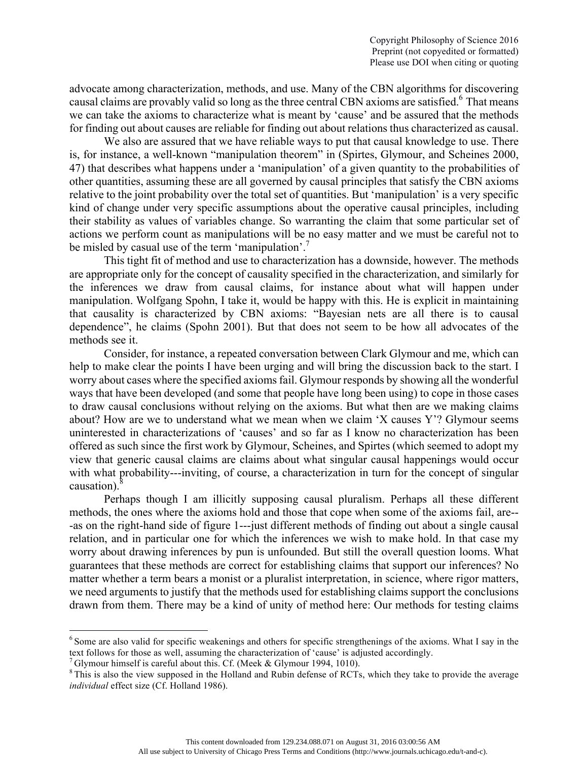advocate among characterization, methods, and use. Many of the CBN algorithms for discovering causal claims are provably valid so long as the three central CBN axioms are satisfied.<sup>6</sup> That means we can take the axioms to characterize what is meant by 'cause' and be assured that the methods for finding out about causes are reliable for finding out about relations thus characterized as causal.

We also are assured that we have reliable ways to put that causal knowledge to use. There is, for instance, a well-known "manipulation theorem" in (Spirtes, Glymour, and Scheines 2000, 47) that describes what happens under a 'manipulation' of a given quantity to the probabilities of other quantities, assuming these are all governed by causal principles that satisfy the CBN axioms relative to the joint probability over the total set of quantities. But 'manipulation' is a very specific kind of change under very specific assumptions about the operative causal principles, including their stability as values of variables change. So warranting the claim that some particular set of actions we perform count as manipulations will be no easy matter and we must be careful not to be misled by casual use of the term 'manipulation'.<sup>7</sup>

This tight fit of method and use to characterization has a downside, however. The methods are appropriate only for the concept of causality specified in the characterization, and similarly for the inferences we draw from causal claims, for instance about what will happen under manipulation. Wolfgang Spohn, I take it, would be happy with this. He is explicit in maintaining that causality is characterized by CBN axioms: "Bayesian nets are all there is to causal dependence", he claims (Spohn 2001). But that does not seem to be how all advocates of the methods see it.

Consider, for instance, a repeated conversation between Clark Glymour and me, which can help to make clear the points I have been urging and will bring the discussion back to the start. I worry about cases where the specified axioms fail. Glymour responds by showing all the wonderful ways that have been developed (and some that people have long been using) to cope in those cases to draw causal conclusions without relying on the axioms. But what then are we making claims about? How are we to understand what we mean when we claim 'X causes Y'? Glymour seems uninterested in characterizations of 'causes' and so far as I know no characterization has been offered as such since the first work by Glymour, Scheines, and Spirtes (which seemed to adopt my view that generic causal claims are claims about what singular causal happenings would occur with what probability---inviting, of course, a characterization in turn for the concept of singular causation).<sup>8</sup>

Perhaps though I am illicitly supposing causal pluralism. Perhaps all these different methods, the ones where the axioms hold and those that cope when some of the axioms fail, are-- -as on the right-hand side of figure 1---just different methods of finding out about a single causal relation, and in particular one for which the inferences we wish to make hold. In that case my worry about drawing inferences by pun is unfounded. But still the overall question looms. What guarantees that these methods are correct for establishing claims that support our inferences? No matter whether a term bears a monist or a pluralist interpretation, in science, where rigor matters, we need arguments to justify that the methods used for establishing claims support the conclusions drawn from them. There may be a kind of unity of method here: Our methods for testing claims

 $6$  Some are also valid for specific weakenings and others for specific strengthenings of the axioms. What I say in the text follows for those as well, assuming the characterization of 'cause' is adjusted accordingly.

 $^7$  Glymour himself is careful about this. Cf. (Meek & Glymour 1994, 1010).<br><sup>8</sup> This is also the view supposed in the Holland and Rubin defense of RCTs, which they take to provide the average *individual* effect size (Cf. Holland 1986).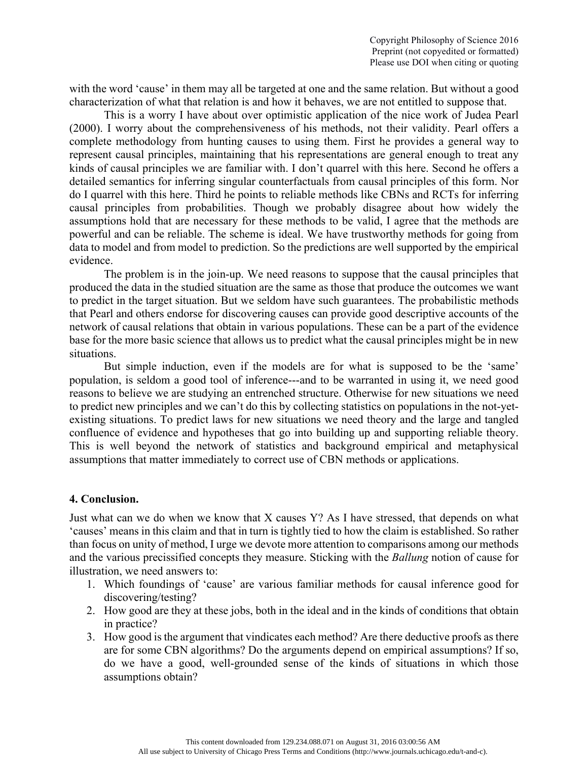with the word 'cause' in them may all be targeted at one and the same relation. But without a good characterization of what that relation is and how it behaves, we are not entitled to suppose that.

This is a worry I have about over optimistic application of the nice work of Judea Pearl (2000). I worry about the comprehensiveness of his methods, not their validity. Pearl offers a complete methodology from hunting causes to using them. First he provides a general way to represent causal principles, maintaining that his representations are general enough to treat any kinds of causal principles we are familiar with. I don't quarrel with this here. Second he offers a detailed semantics for inferring singular counterfactuals from causal principles of this form. Nor do I quarrel with this here. Third he points to reliable methods like CBNs and RCTs for inferring causal principles from probabilities. Though we probably disagree about how widely the assumptions hold that are necessary for these methods to be valid, I agree that the methods are powerful and can be reliable. The scheme is ideal. We have trustworthy methods for going from data to model and from model to prediction. So the predictions are well supported by the empirical evidence.

The problem is in the join-up. We need reasons to suppose that the causal principles that produced the data in the studied situation are the same as those that produce the outcomes we want to predict in the target situation. But we seldom have such guarantees. The probabilistic methods that Pearl and others endorse for discovering causes can provide good descriptive accounts of the network of causal relations that obtain in various populations. These can be a part of the evidence base for the more basic science that allows us to predict what the causal principles might be in new situations.

But simple induction, even if the models are for what is supposed to be the 'same' population, is seldom a good tool of inference---and to be warranted in using it, we need good reasons to believe we are studying an entrenched structure. Otherwise for new situations we need to predict new principles and we can't do this by collecting statistics on populations in the not-yetexisting situations. To predict laws for new situations we need theory and the large and tangled confluence of evidence and hypotheses that go into building up and supporting reliable theory. This is well beyond the network of statistics and background empirical and metaphysical assumptions that matter immediately to correct use of CBN methods or applications.

## **4. Conclusion.**

Just what can we do when we know that X causes Y? As I have stressed, that depends on what 'causes' means in this claim and that in turn is tightly tied to how the claim is established. So rather than focus on unity of method, I urge we devote more attention to comparisons among our methods and the various precissified concepts they measure. Sticking with the *Ballung* notion of cause for illustration, we need answers to:

- 1. Which foundings of 'cause' are various familiar methods for causal inference good for discovering/testing?
- 2. How good are they at these jobs, both in the ideal and in the kinds of conditions that obtain in practice?
- 3. How good is the argument that vindicates each method? Are there deductive proofs as there are for some CBN algorithms? Do the arguments depend on empirical assumptions? If so, do we have a good, well-grounded sense of the kinds of situations in which those assumptions obtain?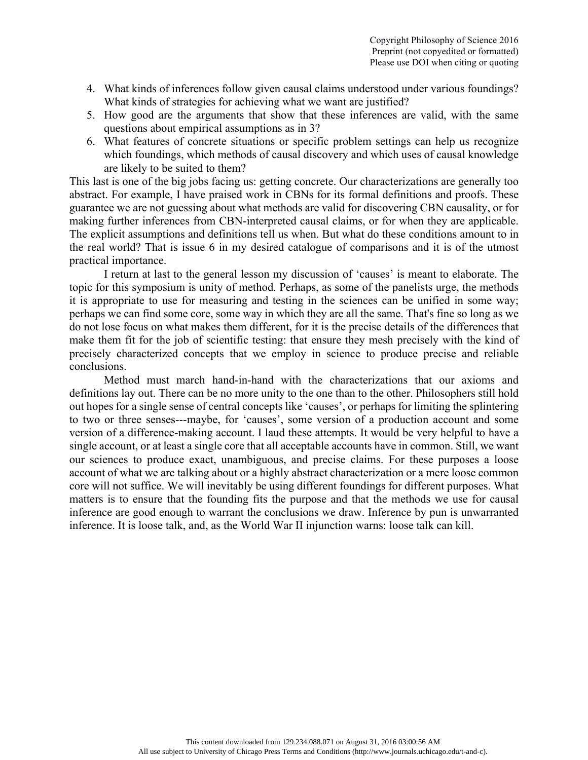- 4. What kinds of inferences follow given causal claims understood under various foundings? What kinds of strategies for achieving what we want are justified?
- 5. How good are the arguments that show that these inferences are valid, with the same questions about empirical assumptions as in 3?
- 6. What features of concrete situations or specific problem settings can help us recognize which foundings, which methods of causal discovery and which uses of causal knowledge are likely to be suited to them?

This last is one of the big jobs facing us: getting concrete. Our characterizations are generally too abstract. For example, I have praised work in CBNs for its formal definitions and proofs. These guarantee we are not guessing about what methods are valid for discovering CBN causality, or for making further inferences from CBN-interpreted causal claims, or for when they are applicable. The explicit assumptions and definitions tell us when. But what do these conditions amount to in the real world? That is issue 6 in my desired catalogue of comparisons and it is of the utmost practical importance.

I return at last to the general lesson my discussion of 'causes' is meant to elaborate. The topic for this symposium is unity of method. Perhaps, as some of the panelists urge, the methods it is appropriate to use for measuring and testing in the sciences can be unified in some way; perhaps we can find some core, some way in which they are all the same. That's fine so long as we do not lose focus on what makes them different, for it is the precise details of the differences that make them fit for the job of scientific testing: that ensure they mesh precisely with the kind of precisely characterized concepts that we employ in science to produce precise and reliable conclusions.

Method must march hand-in-hand with the characterizations that our axioms and definitions lay out. There can be no more unity to the one than to the other. Philosophers still hold out hopes for a single sense of central concepts like 'causes', or perhaps for limiting the splintering to two or three senses---maybe, for 'causes', some version of a production account and some version of a difference-making account. I laud these attempts. It would be very helpful to have a single account, or at least a single core that all acceptable accounts have in common. Still, we want our sciences to produce exact, unambiguous, and precise claims. For these purposes a loose account of what we are talking about or a highly abstract characterization or a mere loose common core will not suffice. We will inevitably be using different foundings for different purposes. What matters is to ensure that the founding fits the purpose and that the methods we use for causal inference are good enough to warrant the conclusions we draw. Inference by pun is unwarranted inference. It is loose talk, and, as the World War II injunction warns: loose talk can kill.